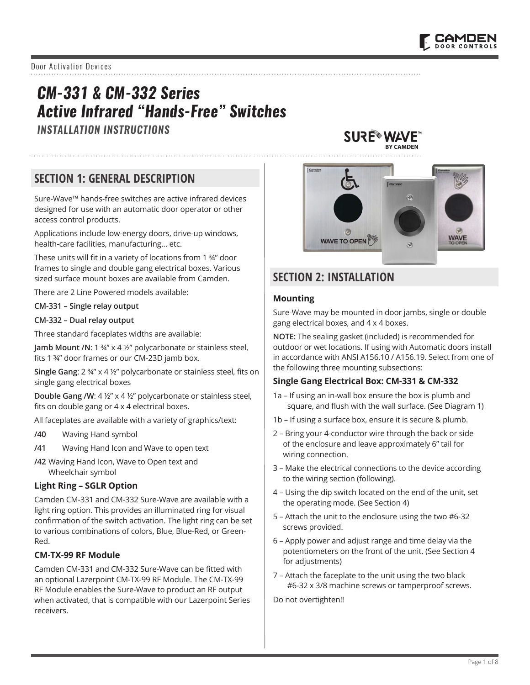Door Activation Devices

# *CM-331 & CM-332 Series Active Infrared "Hands-Free" Switches*

*INSTALLATION INSTRUCTIONS*

**SURE WAVE BY CAMDEN**

# **SECTION 1: GENERAL DESCRIPTION**

Sure-Wave™ hands-free switches are active infrared devices designed for use with an automatic door operator or other access control products.

Applications include low-energy doors, drive-up windows, health-care facilities, manufacturing… etc.

These units will fit in a variety of locations from 1 ¾" door frames to single and double gang electrical boxes. Various sized surface mount boxes are available from Camden.

There are 2 Line Powered models available:

#### **CM-331 – Single relay output**

#### **CM-332 – Dual relay output**

Three standard faceplates widths are available:

**Jamb Mount /N**: 1 ¾" x 4 ½" polycarbonate or stainless steel, fits 1 ¾" door frames or our CM-23D jamb box.

**Single Gang**: 2 ¾" x 4 ½" polycarbonate or stainless steel, fits on single gang electrical boxes

**Double Gang /W:** 4 ½" x 4 ½" polycarbonate or stainless steel, fits on double gang or 4 x 4 electrical boxes.

All faceplates are available with a variety of graphics/text:

- **/40** Waving Hand symbol
- **/41** Waving Hand Icon and Wave to open text
- **/42** Waving Hand Icon, Wave to Open text and Wheelchair symbol

#### **Light Ring – SGLR Option**

Camden CM-331 and CM-332 Sure-Wave are available with a light ring option. This provides an illuminated ring for visual confirmation of the switch activation. The light ring can be set to various combinations of colors, Blue, Blue-Red, or Green-Red.

## **CM-TX-99 RF Module**

Camden CM-331 and CM-332 Sure-Wave can be fitted with an optional Lazerpoint CM-TX-99 RF Module. The CM-TX-99 RF Module enables the Sure-Wave to product an RF output when activated, that is compatible with our Lazerpoint Series receivers.



# **SECTION 2: INSTALLATION**

#### **Mounting**

Sure-Wave may be mounted in door jambs, single or double gang electrical boxes, and 4 x 4 boxes.

**NOTE:** The sealing gasket (included) is recommended for outdoor or wet locations. If using with Automatic doors install in accordance with ANSI A156.10 / A156.19. Select from one of the following three mounting subsections:

#### **Single Gang Electrical Box: CM-331 & CM-332**

- 1a If using an in-wall box ensure the box is plumb and square, and flush with the wall surface. (See Diagram 1)
- 1b If using a surface box, ensure it is secure & plumb.
- 2 Bring your 4-conductor wire through the back or side of the enclosure and leave approximately 6" tail for wiring connection.
- 3 Make the electrical connections to the device according to the wiring section (following).
- 4 Using the dip switch located on the end of the unit, set the operating mode. (See Section 4)
- 5 Attach the unit to the enclosure using the two #6-32 screws provided.
- 6 Apply power and adjust range and time delay via the potentiometers on the front of the unit. (See Section 4 for adjustments)
- 7 Attach the faceplate to the unit using the two black #6-32 x 3/8 machine screws or tamperproof screws.

Do not overtighten!!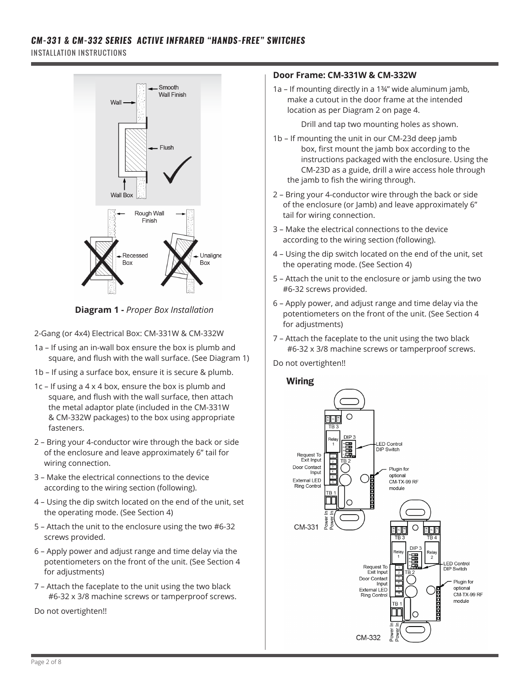# *CM-331 & CM-332 SERIES ACTIVE INFRARED "HANDS-FREE" SWITCHES*

INSTALLATION INSTRUCTIONS



**Diagram 1 -** *Proper Box Installation*

2-Gang (or 4x4) Electrical Box: CM-331W & CM-332W

- 1a If using an in-wall box ensure the box is plumb and square, and flush with the wall surface. (See Diagram 1)
- 1b If using a surface box, ensure it is secure & plumb.
- 1c If using a 4 x 4 box, ensure the box is plumb and square, and flush with the wall surface, then attach the metal adaptor plate (included in the CM-331W & CM-332W packages) to the box using appropriate fasteners.
- 2 Bring your 4-conductor wire through the back or side of the enclosure and leave approximately 6" tail for wiring connection.
- 3 Make the electrical connections to the device according to the wiring section (following).
- 4 Using the dip switch located on the end of the unit, set the operating mode. (See Section 4)
- 5 Attach the unit to the enclosure using the two #6-32 screws provided.
- 6 Apply power and adjust range and time delay via the potentiometers on the front of the unit. (See Section 4 for adjustments)
- 7 Attach the faceplate to the unit using the two black #6-32 x 3/8 machine screws or tamperproof screws.

Do not overtighten!!

## **Door Frame: CM-331W & CM-332W**

1a – If mounting directly in a 1¾" wide aluminum jamb, make a cutout in the door frame at the intended location as per Diagram 2 on page 4.

Drill and tap two mounting holes as shown.

- 1b If mounting the unit in our CM-23d deep jamb box, first mount the jamb box according to the instructions packaged with the enclosure. Using the CM-23D as a guide, drill a wire access hole through the jamb to fish the wiring through.
- 2 Bring your 4-conductor wire through the back or side of the enclosure (or Jamb) and leave approximately 6" tail for wiring connection.
- 3 Make the electrical connections to the device according to the wiring section (following).
- 4 Using the dip switch located on the end of the unit, set the operating mode. (See Section 4)
- 5 Attach the unit to the enclosure or jamb using the two #6-32 screws provided.
- 6 Apply power, and adjust range and time delay via the potentiometers on the front of the unit. (See Section 4 for adjustments)
- 7 Attach the faceplate to the unit using the two black #6-32 x 3/8 machine screws or tamperproof screws.

Do not overtighten!!

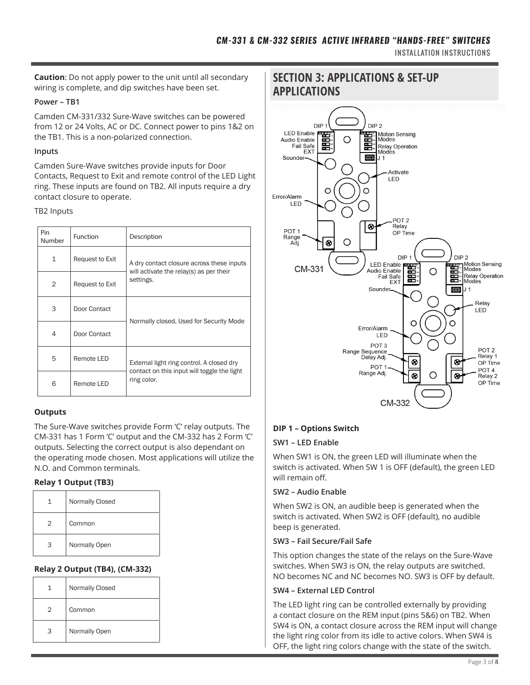INSTALLATION INSTRUCTIONS

wiring is complete, and dip switches have been set.

### **Power – TB1**

Camden CM-331/332 Sure-Wave switches can be powered from 12 or 24 Volts, AC or DC. Connect power to pins 1&2 on the TB1. This is a non-polarized connection.

### **Inputs**

Camden Sure-Wave switches provide inputs for Door Contacts, Request to Exit and remote control of the LED Light ring. These inputs are found on TB2. All inputs require a dry contact closure to operate.

#### TB2 Inputs

| Pin<br>Number  | <b>Function</b> | Description                                                |  |  |  |
|----------------|-----------------|------------------------------------------------------------|--|--|--|
| 1              | Request to Exit | A dry contact closure across these inputs                  |  |  |  |
| $\overline{2}$ | Request to Exit | will activate the relay(s) as per their<br>settings.       |  |  |  |
| 3              | Door Contact    | Normally closed, Used for Security Mode                    |  |  |  |
| 4              | Door Contact    |                                                            |  |  |  |
| 5              | Remote LED      | External light ring control. A closed dry                  |  |  |  |
| 6              | Remote LED      | contact on this input will toggle the light<br>ring color. |  |  |  |

## **Outputs**

The Sure-Wave switches provide Form 'C' relay outputs. The CM-331 has 1 Form 'C' output and the CM-332 has 2 Form 'C' outputs. Selecting the correct output is also dependant on the operating mode chosen. Most applications will utilize the N.O. and Common terminals.

## **Relay 1 Output (TB3)**

| 1 | Normally Closed |
|---|-----------------|
| 2 | Common          |
| З | Normally Open   |

## **Relay 2 Output (TB4), (CM-332)**

| 1 | <b>Normally Closed</b> |  |  |  |
|---|------------------------|--|--|--|
| 2 | Common                 |  |  |  |
| З | Normally Open          |  |  |  |

# **SECTION 3: APPLICATIONS & SET-UP APPLICATIONS**



## **DIP 1 – Options Switch**

## **SW1 – LED Enable**

When SW1 is ON, the green LED will illuminate when the switch is activated. When SW 1 is OFF (default), the green LED will remain off.

## **SW2 – Audio Enable**

When SW2 is ON, an audible beep is generated when the switch is activated. When SW2 is OFF (default), no audible beep is generated.

#### **SW3 – Fail Secure/Fail Safe**

This option changes the state of the relays on the Sure-Wave switches. When SW3 is ON, the relay outputs are switched. NO becomes NC and NC becomes NO. SW3 is OFF by default.

## **SW4 – External LED Control**

The LED light ring can be controlled externally by providing a contact closure on the REM input (pins 5&6) on TB2. When SW4 is ON, a contact closure across the REM input will change the light ring color from its idle to active colors. When SW4 is OFF, the light ring colors change with the state of the switch.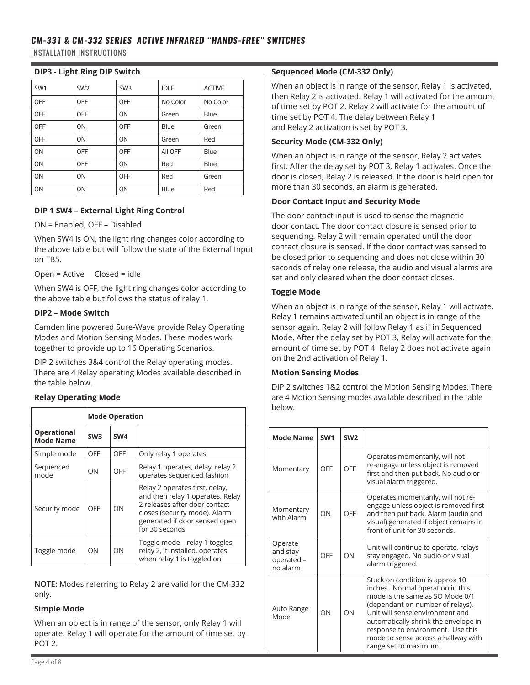# *CM-331 & CM-332 SERIES ACTIVE INFRARED "HANDS-FREE" SWITCHES*

INSTALLATION INSTRUCTIONS

## **DIP3 - Light Ring DIP Switch**

| SW <sub>1</sub> | SW <sub>2</sub> | SW <sub>3</sub> | <b>IDLE</b> | <b>ACTIVE</b> |
|-----------------|-----------------|-----------------|-------------|---------------|
| <b>OFF</b>      | <b>OFF</b>      | <b>OFF</b>      | No Color    | No Color      |
| OFF             | <b>OFF</b>      | ON              | Green       | <b>Blue</b>   |
| OFF             | ON              | <b>OFF</b>      | Blue        | Green         |
| OFF             | ON              | ON              | Green       | Red           |
| ON              | <b>OFF</b>      | <b>OFF</b>      | AII OFF     | Blue          |
| ON              | <b>OFF</b>      | ON              | Red         | Blue          |
| ON              | ON              | <b>OFF</b>      | Red         | Green         |
| ON              | ON              | ON              | Blue        | Red           |

## **DIP 1 SW4 – External Light Ring Control**

ON = Enabled, OFF – Disabled

When SW4 is ON, the light ring changes color according to the above table but will follow the state of the External Input on TB5.

Open = Active Closed = idle

When SW4 is OFF, the light ring changes color according to the above table but follows the status of relay 1.

## **DIP2 – Mode Switch**

Camden line powered Sure-Wave provide Relay Operating Modes and Motion Sensing Modes. These modes work together to provide up to 16 Operating Scenarios.

DIP 2 switches 3&4 control the Relay operating modes. There are 4 Relay operating Modes available described in the table below.

## **Relay Operating Mode**

|                                        | <b>Mode Operation</b> |                 |                                                                                                                                                                                         |  |  |  |  |
|----------------------------------------|-----------------------|-----------------|-----------------------------------------------------------------------------------------------------------------------------------------------------------------------------------------|--|--|--|--|
| <b>Operational</b><br><b>Mode Name</b> | SW <sub>3</sub>       | SW <sub>4</sub> |                                                                                                                                                                                         |  |  |  |  |
| Simple mode                            | OFF                   | OFF             | Only relay 1 operates                                                                                                                                                                   |  |  |  |  |
| Sequenced<br>mode                      | OΝ                    | OFF             | Relay 1 operates, delay, relay 2<br>operates sequenced fashion                                                                                                                          |  |  |  |  |
| Security mode                          | OFF                   | ON              | Relay 2 operates first, delay,<br>and then relay 1 operates. Relay<br>2 releases after door contact<br>closes (security mode). Alarm<br>generated if door sensed open<br>for 30 seconds |  |  |  |  |
| Toggle mode                            | ON                    | ON              | Toggle mode - relay 1 toggles,<br>relay 2, if installed, operates<br>when relay 1 is toggled on                                                                                         |  |  |  |  |

**NOTE:** Modes referring to Relay 2 are valid for the CM-332 only.

## **Simple Mode**

When an object is in range of the sensor, only Relay 1 will operate. Relay 1 will operate for the amount of time set by POT 2.

## **Sequenced Mode (CM-332 Only)**

When an object is in range of the sensor, Relay 1 is activated, then Relay 2 is activated. Relay 1 will activated for the amount of time set by POT 2. Relay 2 will activate for the amount of time set by POT 4. The delay between Relay 1 and Relay 2 activation is set by POT 3.

## **Security Mode (CM-332 Only)**

When an object is in range of the sensor, Relay 2 activates first. After the delay set by POT 3, Relay 1 activates. Once the door is closed, Relay 2 is released. If the door is held open for more than 30 seconds, an alarm is generated.

## **Door Contact Input and Security Mode**

The door contact input is used to sense the magnetic door contact. The door contact closure is sensed prior to sequencing. Relay 2 will remain operated until the door contact closure is sensed. If the door contact was sensed to be closed prior to sequencing and does not close within 30 seconds of relay one release, the audio and visual alarms are set and only cleared when the door contact closes.

## **Toggle Mode**

When an object is in range of the sensor, Relay 1 will activate. Relay 1 remains activated until an object is in range of the sensor again. Relay 2 will follow Relay 1 as if in Sequenced Mode. After the delay set by POT 3, Relay will activate for the amount of time set by POT 4. Relay 2 does not activate again on the 2nd activation of Relay 1.

## **Motion Sensing Modes**

DIP 2 switches 1&2 control the Motion Sensing Modes. There are 4 Motion Sensing modes available described in the table below.

| <b>Mode Name</b>                              | SW <sub>1</sub> | SW <sub>2</sub> |                                                                                                                                                                                                                                                                                                                            |
|-----------------------------------------------|-----------------|-----------------|----------------------------------------------------------------------------------------------------------------------------------------------------------------------------------------------------------------------------------------------------------------------------------------------------------------------------|
| Momentary                                     | OFF             | OFF             | Operates momentarily, will not<br>re-engage unless object is removed<br>first and then put back. No audio or<br>visual alarm triggered.                                                                                                                                                                                    |
| Momentary<br>with Alarm                       | ON              | OFF             | Operates momentarily, will not re-<br>engage unless object is removed first<br>and then put back. Alarm (audio and<br>visual) generated if object remains in<br>front of unit for 30 seconds.                                                                                                                              |
| Operate<br>and stay<br>operated -<br>no alarm | OFF             | ON              | Unit will continue to operate, relays<br>stay engaged. No audio or visual<br>alarm triggered.                                                                                                                                                                                                                              |
| Auto Range<br>Mode                            | ON              | ON              | Stuck on condition is approx 10<br>inches. Normal operation in this<br>mode is the same as SO Mode 0/1<br>(dependant on number of relays).<br>Unit will sense environment and<br>automatically shrink the envelope in<br>response to environment. Use this<br>mode to sense across a hallway with<br>range set to maximum. |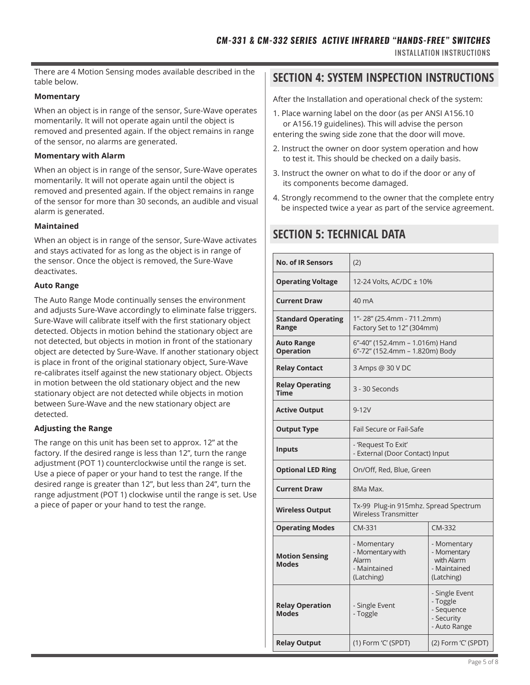There are 4 Motion Sensing modes available described in the table below.

#### **Momentary**

When an object is in range of the sensor, Sure-Wave operates momentarily. It will not operate again until the object is removed and presented again. If the object remains in range of the sensor, no alarms are generated.

#### **Momentary with Alarm**

When an object is in range of the sensor, Sure-Wave operates momentarily. It will not operate again until the object is removed and presented again. If the object remains in range of the sensor for more than 30 seconds, an audible and visual alarm is generated.

#### **Maintained**

When an object is in range of the sensor, Sure-Wave activates and stays activated for as long as the object is in range of the sensor. Once the object is removed, the Sure-Wave deactivates.

#### **Auto Range**

The Auto Range Mode continually senses the environment and adjusts Sure-Wave accordingly to eliminate false triggers. Sure-Wave will calibrate itself with the first stationary object detected. Objects in motion behind the stationary object are not detected, but objects in motion in front of the stationary object are detected by Sure-Wave. If another stationary object is place in front of the original stationary object, Sure-Wave re-calibrates itself against the new stationary object. Objects in motion between the old stationary object and the new stationary object are not detected while objects in motion between Sure-Wave and the new stationary object are detected.

## **Adjusting the Range**

The range on this unit has been set to approx. 12" at the factory. If the desired range is less than 12", turn the range adjustment (POT 1) counterclockwise until the range is set. Use a piece of paper or your hand to test the range. If the desired range is greater than 12", but less than 24", turn the range adjustment (POT 1) clockwise until the range is set. Use a piece of paper or your hand to test the range.

## **SECTION 4: SYSTEM INSPECTION INSTRUCTIONS**

After the Installation and operational check of the system:

- 1. Place warning label on the door (as per ANSI A156.10 or A156.19 guidelines). This will advise the person entering the swing side zone that the door will move.
- 2. Instruct the owner on door system operation and how to test it. This should be checked on a daily basis.
- 3. Instruct the owner on what to do if the door or any of its components become damaged.
- 4. Strongly recommend to the owner that the complete entry be inspected twice a year as part of the service agreement.

# **SECTION 5: TECHNICAL DATA**

| <b>No. of IR Sensors</b>               | (2)                                                                    |                                                                        |  |  |
|----------------------------------------|------------------------------------------------------------------------|------------------------------------------------------------------------|--|--|
| <b>Operating Voltage</b>               | 12-24 Volts, AC/DC ± 10%                                               |                                                                        |  |  |
| <b>Current Draw</b>                    | 40 mA                                                                  |                                                                        |  |  |
| <b>Standard Operating</b><br>Range     | 1"-28" (25.4mm - 711.2mm)<br>Factory Set to 12" (304mm)                |                                                                        |  |  |
| <b>Auto Range</b><br><b>Operation</b>  | 6"-40" (152.4mm - 1.016m) Hand<br>6"-72" (152.4mm - 1.820m) Body       |                                                                        |  |  |
| <b>Relay Contact</b>                   | 3 Amps @ 30 V DC                                                       |                                                                        |  |  |
| <b>Relay Operating</b><br><b>Time</b>  | 3 - 30 Seconds                                                         |                                                                        |  |  |
| <b>Active Output</b>                   | $9 - 12V$                                                              |                                                                        |  |  |
| <b>Output Type</b>                     | Fail Secure or Fail-Safe                                               |                                                                        |  |  |
| <b>Inputs</b>                          | - 'Request To Exit'<br>- External (Door Contact) Input                 |                                                                        |  |  |
| <b>Optional LED Ring</b>               | On/Off, Red, Blue, Green                                               |                                                                        |  |  |
| <b>Current Draw</b>                    | 8Ma Max.                                                               |                                                                        |  |  |
| <b>Wireless Output</b>                 | Tx-99 Plug-in 915mhz. Spread Spectrum<br><b>Wireless Transmitter</b>   |                                                                        |  |  |
| <b>Operating Modes</b>                 | CM-331                                                                 | CM-332                                                                 |  |  |
| <b>Motion Sensing</b><br><b>Modes</b>  | - Momentary<br>- Momentary with<br>Alarm<br>- Maintained<br>(Latching) | - Momentary<br>- Momentary<br>with Alarm<br>- Maintained<br>(Latching) |  |  |
| <b>Relay Operation</b><br><b>Modes</b> | - Single Event<br>- Toggle                                             | - Single Event<br>- Toggle<br>- Sequence<br>- Security<br>- Auto Range |  |  |
| <b>Relay Output</b>                    | (1) Form 'C' (SPDT)<br>(2) Form 'C' (SPDT)                             |                                                                        |  |  |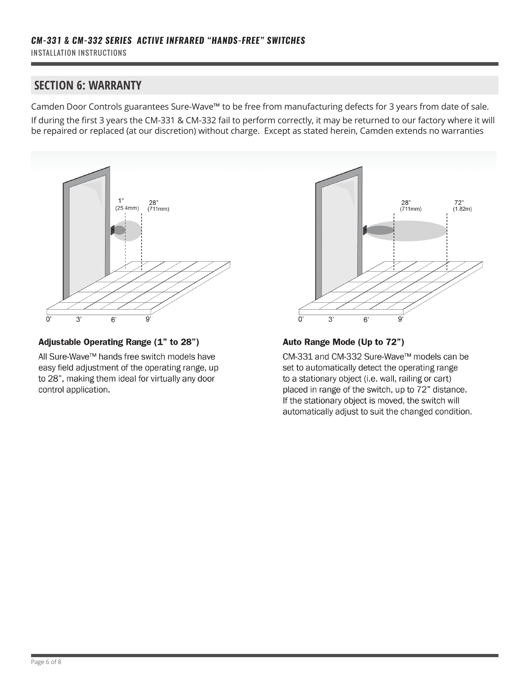# **SECTION 6: WARRANTY**

Camden Door Controls guarantees Sure-Wave™ to be free from manufacturing defects for 3 years from date of sale. If during the first 3 years the CM-331 & CM-332 fail to perform correctly, it may be returned to our factory where it will be repaired or replaced (at our discretion) without charge. Except as stated herein, Camden extends no warranties



## Adjustable Operating Range (1" to 28")

All Sure-Wave™ hands free switch models have easy field adjustment of the operating range, up to 28", making them ideal for virtually any door control application.



## Auto Range Mode (Up to 72")

CM-331 and CM-332 Sure-Wave™ models can be set to automatically detect the operating range to a stationary object (i.e. wall, railing or cart) placed in range of the switch, up to 72" distance. If the stationary object is moved, the switch will automatically adjust to suit the changed condition.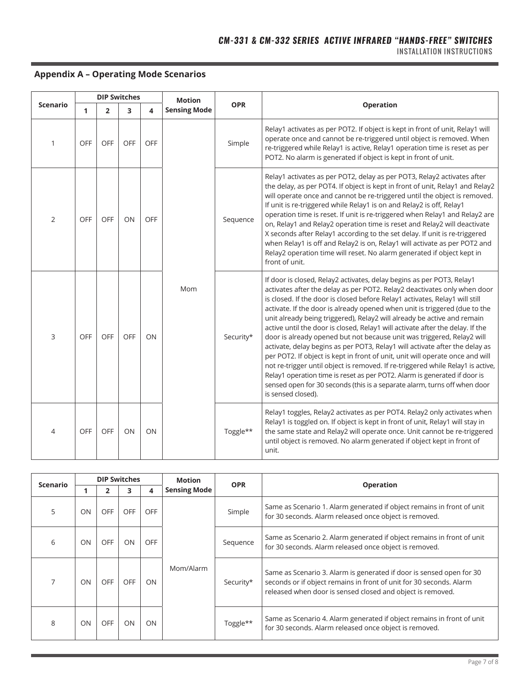#### INSTALLATION INSTRUCTIONS

## **Appendix A – Operating Mode Scenarios**

|                 |            | <b>DIP Switches</b> |     |            | <b>Motion</b>       |            |                                                                                                                                                                                                                                                                                                                                                                                                                                                                                                                                                                                                                                                                                                                                                                                                                                                                                                                                                                                         |
|-----------------|------------|---------------------|-----|------------|---------------------|------------|-----------------------------------------------------------------------------------------------------------------------------------------------------------------------------------------------------------------------------------------------------------------------------------------------------------------------------------------------------------------------------------------------------------------------------------------------------------------------------------------------------------------------------------------------------------------------------------------------------------------------------------------------------------------------------------------------------------------------------------------------------------------------------------------------------------------------------------------------------------------------------------------------------------------------------------------------------------------------------------------|
| <b>Scenario</b> | 1          | $\overline{2}$      | 3   | 4          | <b>Sensing Mode</b> | <b>OPR</b> | <b>Operation</b>                                                                                                                                                                                                                                                                                                                                                                                                                                                                                                                                                                                                                                                                                                                                                                                                                                                                                                                                                                        |
| 1               | <b>OFF</b> | OFF                 | OFF | OFF        |                     | Simple     | Relay1 activates as per POT2. If object is kept in front of unit, Relay1 will<br>operate once and cannot be re-triggered until object is removed. When<br>re-triggered while Relay1 is active, Relay1 operation time is reset as per<br>POT2. No alarm is generated if object is kept in front of unit.                                                                                                                                                                                                                                                                                                                                                                                                                                                                                                                                                                                                                                                                                 |
| 2               | OFF        | OFF                 | ON  | <b>OFF</b> |                     | Sequence   | Relay1 activates as per POT2, delay as per POT3, Relay2 activates after<br>the delay, as per POT4. If object is kept in front of unit, Relay1 and Relay2<br>will operate once and cannot be re-triggered until the object is removed.<br>If unit is re-triggered while Relay1 is on and Relay2 is off, Relay1<br>operation time is reset. If unit is re-triggered when Relay1 and Relay2 are<br>on, Relay1 and Relay2 operation time is reset and Relay2 will deactivate<br>X seconds after Relay1 according to the set delay. If unit is re-triggered<br>when Relay1 is off and Relay2 is on, Relay1 will activate as per POT2 and<br>Relay2 operation time will reset. No alarm generated if object kept in<br>front of unit.                                                                                                                                                                                                                                                         |
| 3               | <b>OFF</b> | OFF                 | OFF | ON         | Mom                 | Security*  | If door is closed, Relay2 activates, delay begins as per POT3, Relay1<br>activates after the delay as per POT2. Relay2 deactivates only when door<br>is closed. If the door is closed before Relay1 activates, Relay1 will still<br>activate. If the door is already opened when unit is triggered (due to the<br>unit already being triggered), Relay2 will already be active and remain<br>active until the door is closed, Relay1 will activate after the delay. If the<br>door is already opened but not because unit was triggered, Relay2 will<br>activate, delay begins as per POT3, Relay1 will activate after the delay as<br>per POT2. If object is kept in front of unit, unit will operate once and will<br>not re-trigger until object is removed. If re-triggered while Relay1 is active,<br>Relay1 operation time is reset as per POT2. Alarm is generated if door is<br>sensed open for 30 seconds (this is a separate alarm, turns off when door<br>is sensed closed). |
| 4               | <b>OFF</b> | OFF                 | ON  | ON         |                     | Toggle**   | Relay1 toggles, Relay2 activates as per POT4. Relay2 only activates when<br>Relay1 is toggled on. If object is kept in front of unit, Relay1 will stay in<br>the same state and Relay2 will operate once. Unit cannot be re-triggered<br>until object is removed. No alarm generated if object kept in front of<br>unit.                                                                                                                                                                                                                                                                                                                                                                                                                                                                                                                                                                                                                                                                |

| <b>Scenario</b> |    | <b>DIP Switches</b> |            |            | <b>Motion</b>       | <b>OPR</b> | <b>Operation</b>                                                                                                                                                                                          |
|-----------------|----|---------------------|------------|------------|---------------------|------------|-----------------------------------------------------------------------------------------------------------------------------------------------------------------------------------------------------------|
|                 |    | 2                   | 3          | 4          | <b>Sensing Mode</b> |            |                                                                                                                                                                                                           |
| 5               | ON | <b>OFF</b>          | <b>OFF</b> | <b>OFF</b> |                     | Simple     | Same as Scenario 1. Alarm generated if object remains in front of unit<br>for 30 seconds. Alarm released once object is removed.                                                                          |
| 6               | ON | <b>OFF</b>          | ON         | <b>OFF</b> |                     | Sequence   | Same as Scenario 2. Alarm generated if object remains in front of unit<br>for 30 seconds. Alarm released once object is removed.                                                                          |
| $\overline{7}$  | ON | <b>OFF</b>          | <b>OFF</b> | ON         | Mom/Alarm           | Security*  | Same as Scenario 3. Alarm is generated if door is sensed open for 30<br>seconds or if object remains in front of unit for 30 seconds. Alarm<br>released when door is sensed closed and object is removed. |
| 8               | ON | <b>OFF</b>          | ON         | ON         |                     | Toggle**   | Same as Scenario 4. Alarm generated if object remains in front of unit<br>for 30 seconds. Alarm released once object is removed.                                                                          |